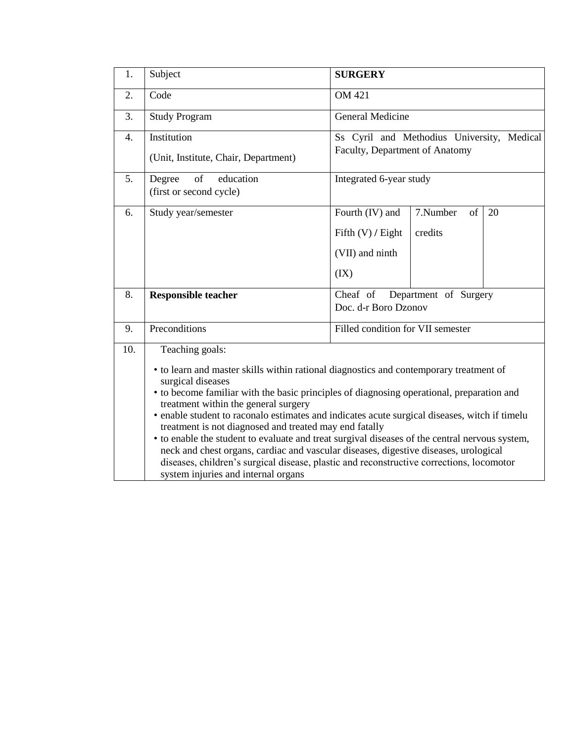| 1.               | Subject                                                                                                                                                                                                                                                                                                                                                                                                                                                                                                                                                                                                                                                                                                                                                     | <b>SURGERY</b>                                                                                       |  |  |
|------------------|-------------------------------------------------------------------------------------------------------------------------------------------------------------------------------------------------------------------------------------------------------------------------------------------------------------------------------------------------------------------------------------------------------------------------------------------------------------------------------------------------------------------------------------------------------------------------------------------------------------------------------------------------------------------------------------------------------------------------------------------------------------|------------------------------------------------------------------------------------------------------|--|--|
| 2.               | Code                                                                                                                                                                                                                                                                                                                                                                                                                                                                                                                                                                                                                                                                                                                                                        | <b>OM 421</b>                                                                                        |  |  |
| 3.               | <b>Study Program</b>                                                                                                                                                                                                                                                                                                                                                                                                                                                                                                                                                                                                                                                                                                                                        | <b>General Medicine</b>                                                                              |  |  |
| $\overline{4}$ . | Institution<br>(Unit, Institute, Chair, Department)                                                                                                                                                                                                                                                                                                                                                                                                                                                                                                                                                                                                                                                                                                         | Ss Cyril and Methodius University, Medical<br>Faculty, Department of Anatomy                         |  |  |
| 5.               | of<br>education<br>Degree<br>(first or second cycle)                                                                                                                                                                                                                                                                                                                                                                                                                                                                                                                                                                                                                                                                                                        | Integrated 6-year study                                                                              |  |  |
| 6.               | Study year/semester                                                                                                                                                                                                                                                                                                                                                                                                                                                                                                                                                                                                                                                                                                                                         | Fourth (IV) and<br>7.Number<br>of<br>20<br>Fifth $(V)$ / Eight<br>credits<br>(VII) and ninth<br>(IX) |  |  |
| 8.               | Department of Surgery<br>Cheaf of<br><b>Responsible teacher</b><br>Doc. d-r Boro Dzonov                                                                                                                                                                                                                                                                                                                                                                                                                                                                                                                                                                                                                                                                     |                                                                                                      |  |  |
| 9.               | Preconditions                                                                                                                                                                                                                                                                                                                                                                                                                                                                                                                                                                                                                                                                                                                                               | Filled condition for VII semester                                                                    |  |  |
| 10.              | Teaching goals:<br>• to learn and master skills within rational diagnostics and contemporary treatment of<br>surgical diseases<br>• to become familiar with the basic principles of diagnosing operational, preparation and<br>treatment within the general surgery<br>• enable student to raconalo estimates and indicates acute surgical diseases, witch if timelu<br>treatment is not diagnosed and treated may end fatally<br>• to enable the student to evaluate and treat surgival diseases of the central nervous system,<br>neck and chest organs, cardiac and vascular diseases, digestive diseases, urological<br>diseases, children's surgical disease, plastic and reconstructive corrections, locomotor<br>system injuries and internal organs |                                                                                                      |  |  |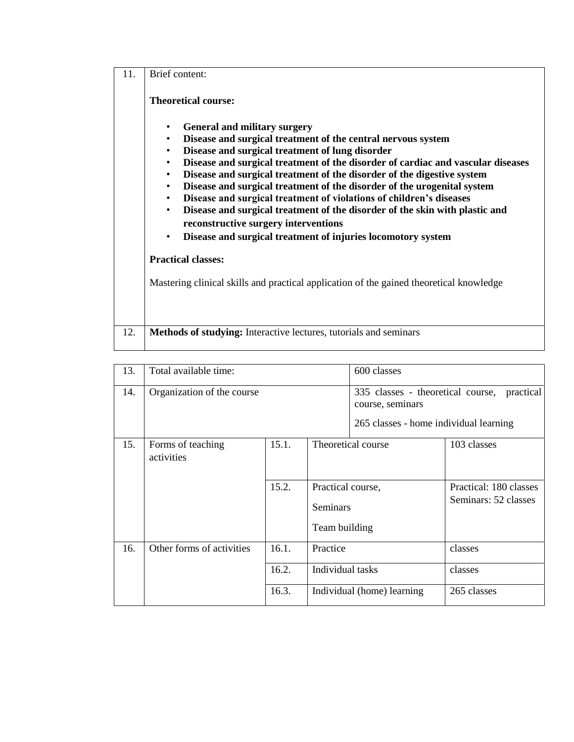| 11. | Brief content:                                                                                                                                                                                                                                                                                                                                                                                                                                                                                                                                                                                                                                                                                                                                                                    |  |  |
|-----|-----------------------------------------------------------------------------------------------------------------------------------------------------------------------------------------------------------------------------------------------------------------------------------------------------------------------------------------------------------------------------------------------------------------------------------------------------------------------------------------------------------------------------------------------------------------------------------------------------------------------------------------------------------------------------------------------------------------------------------------------------------------------------------|--|--|
|     | <b>Theoretical course:</b>                                                                                                                                                                                                                                                                                                                                                                                                                                                                                                                                                                                                                                                                                                                                                        |  |  |
|     | <b>General and military surgery</b><br>$\bullet$<br>Disease and surgical treatment of the central nervous system<br>$\bullet$<br>Disease and surgical treatment of lung disorder<br>$\bullet$<br>Disease and surgical treatment of the disorder of cardiac and vascular diseases<br>$\bullet$<br>Disease and surgical treatment of the disorder of the digestive system<br>$\bullet$<br>Disease and surgical treatment of the disorder of the urogenital system<br>$\bullet$<br>Disease and surgical treatment of violations of children's diseases<br>$\bullet$<br>Disease and surgical treatment of the disorder of the skin with plastic and<br>$\bullet$<br>reconstructive surgery interventions<br>Disease and surgical treatment of injuries locomotory system<br>$\bullet$ |  |  |
|     | <b>Practical classes:</b>                                                                                                                                                                                                                                                                                                                                                                                                                                                                                                                                                                                                                                                                                                                                                         |  |  |
|     | Mastering clinical skills and practical application of the gained theoretical knowledge                                                                                                                                                                                                                                                                                                                                                                                                                                                                                                                                                                                                                                                                                           |  |  |
| 12. | <b>Methods of studying:</b> Interactive lectures, tutorials and seminars                                                                                                                                                                                                                                                                                                                                                                                                                                                                                                                                                                                                                                                                                                          |  |  |

| 13. | Total available time:           |       |                                                | 600 classes                                                                                     |                                                |
|-----|---------------------------------|-------|------------------------------------------------|-------------------------------------------------------------------------------------------------|------------------------------------------------|
| 14. | Organization of the course      |       |                                                | 335 classes - theoretical course,<br>course, seminars<br>265 classes - home individual learning | practical                                      |
| 15. | Forms of teaching<br>activities | 15.1. |                                                | Theoretical course                                                                              | 103 classes                                    |
|     |                                 | 15.2. | Practical course,<br>Seminars<br>Team building |                                                                                                 | Practical: 180 classes<br>Seminars: 52 classes |
| 16. | Other forms of activities       | 16.1. | Practice                                       |                                                                                                 | classes                                        |
|     |                                 | 16.2. | Individual tasks                               |                                                                                                 | classes                                        |
|     |                                 | 16.3. |                                                | Individual (home) learning                                                                      | 265 classes                                    |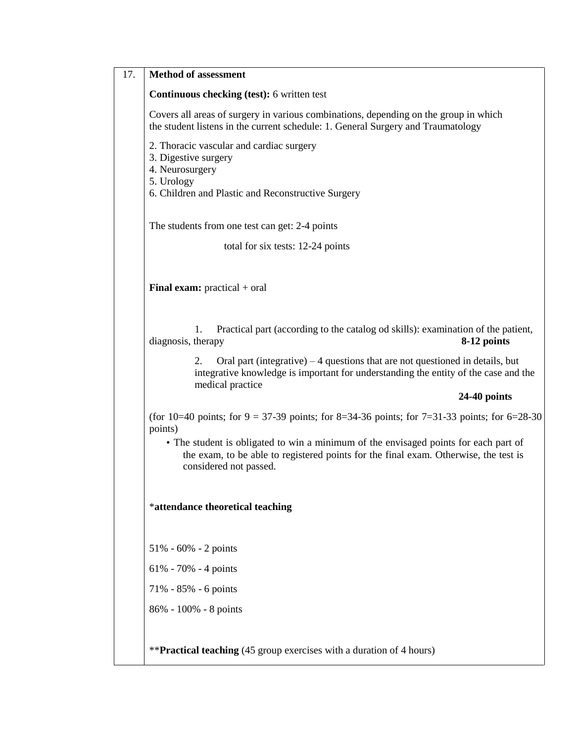| <b>Method of assessment</b>                                                                                                                                                                            |  |  |  |
|--------------------------------------------------------------------------------------------------------------------------------------------------------------------------------------------------------|--|--|--|
| <b>Continuous checking (test): 6 written test</b>                                                                                                                                                      |  |  |  |
| Covers all areas of surgery in various combinations, depending on the group in which<br>the student listens in the current schedule: 1. General Surgery and Traumatology                               |  |  |  |
| 2. Thoracic vascular and cardiac surgery<br>3. Digestive surgery<br>4. Neurosurgery<br>5. Urology<br>6. Children and Plastic and Reconstructive Surgery                                                |  |  |  |
| The students from one test can get: 2-4 points                                                                                                                                                         |  |  |  |
| total for six tests: 12-24 points                                                                                                                                                                      |  |  |  |
| <b>Final exam:</b> practical $+$ oral                                                                                                                                                                  |  |  |  |
| Practical part (according to the catalog od skills): examination of the patient,<br>1.<br>diagnosis, therapy<br>8-12 points                                                                            |  |  |  |
| Oral part (integrative) $-4$ questions that are not questioned in details, but<br>2.<br>integrative knowledge is important for understanding the entity of the case and the<br>medical practice        |  |  |  |
| $24-40$ points                                                                                                                                                                                         |  |  |  |
| (for 10=40 points; for 9 = 37-39 points; for 8=34-36 points; for 7=31-33 points; for 6=28-30<br>points)                                                                                                |  |  |  |
| • The student is obligated to win a minimum of the envisaged points for each part of<br>the exam, to be able to registered points for the final exam. Otherwise, the test is<br>considered not passed. |  |  |  |
| *attendance theoretical teaching                                                                                                                                                                       |  |  |  |
| $51\% - 60\% - 2$ points                                                                                                                                                                               |  |  |  |
| $61\% - 70\% - 4$ points                                                                                                                                                                               |  |  |  |
|                                                                                                                                                                                                        |  |  |  |
| 71% - 85% - 6 points                                                                                                                                                                                   |  |  |  |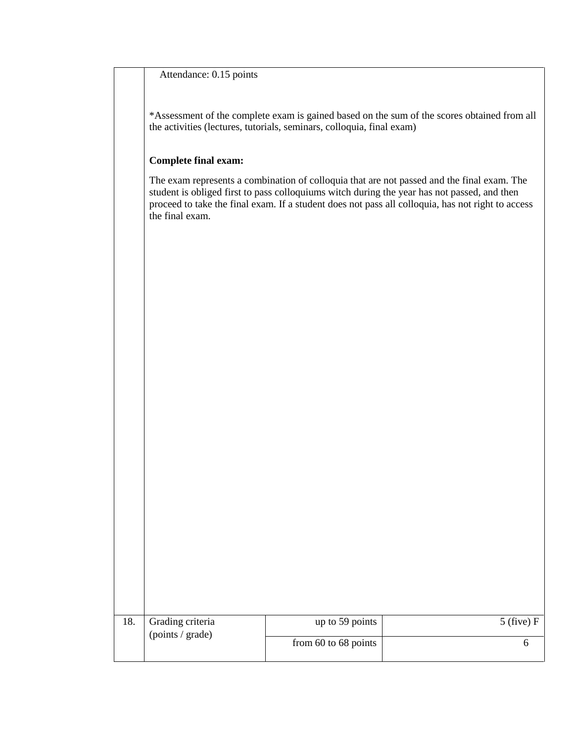## Attendance: 0.15 points

\*Assessment of the complete exam is gained based on the sum of the scores obtained from all the activities (lectures, tutorials, seminars, colloquia, final exam)

## **Complete final exam:**

The exam represents a combination of colloquia that are not passed and the final exam. The student is obliged first to pass colloquiums witch during the year has not passed, and then proceed to take the final exam. If a student does not pass all colloquia, has not right to access the final exam.

| 18. | Grading criteria<br>(points / grade) | up to 59 points          | $5$ (five) F |
|-----|--------------------------------------|--------------------------|--------------|
|     |                                      | from $60$ to $68$ points |              |